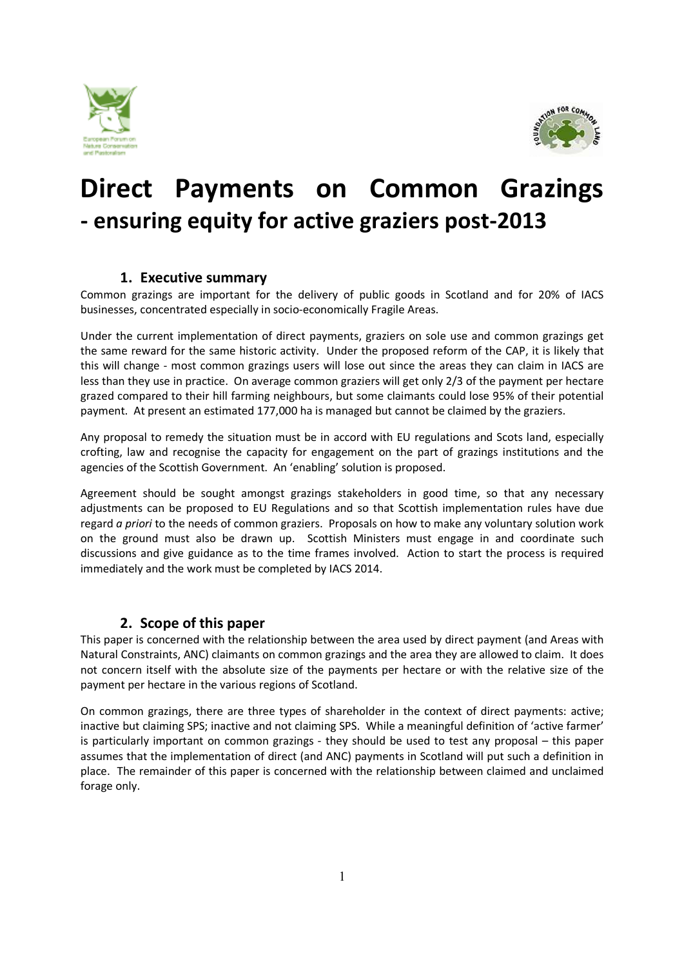



# **Direct Payments on Common Grazings - ensuring equity for active graziers post-2013**

## **1. Executive summary**

Common grazings are important for the delivery of public goods in Scotland and for 20% of IACS businesses, concentrated especially in socio-economically Fragile Areas.

Under the current implementation of direct payments, graziers on sole use and common grazings get the same reward for the same historic activity. Under the proposed reform of the CAP, it is likely that this will change - most common grazings users will lose out since the areas they can claim in IACS are less than they use in practice. On average common graziers will get only 2/3 of the payment per hectare grazed compared to their hill farming neighbours, but some claimants could lose 95% of their potential payment. At present an estimated 177,000 ha is managed but cannot be claimed by the graziers.

Any proposal to remedy the situation must be in accord with EU regulations and Scots land, especially crofting, law and recognise the capacity for engagement on the part of grazings institutions and the agencies of the Scottish Government. An 'enabling' solution is proposed.

Agreement should be sought amongst grazings stakeholders in good time, so that any necessary adjustments can be proposed to EU Regulations and so that Scottish implementation rules have due regard *a priori* to the needs of common graziers. Proposals on how to make any voluntary solution work on the ground must also be drawn up. Scottish Ministers must engage in and coordinate such discussions and give guidance as to the time frames involved. Action to start the process is required immediately and the work must be completed by IACS 2014.

## **2. Scope of this paper**

This paper is concerned with the relationship between the area used by direct payment (and Areas with Natural Constraints, ANC) claimants on common grazings and the area they are allowed to claim. It does not concern itself with the absolute size of the payments per hectare or with the relative size of the payment per hectare in the various regions of Scotland.

On common grazings, there are three types of shareholder in the context of direct payments: active; inactive but claiming SPS; inactive and not claiming SPS. While a meaningful definition of 'active farmer' is particularly important on common grazings - they should be used to test any proposal – this paper assumes that the implementation of direct (and ANC) payments in Scotland will put such a definition in place. The remainder of this paper is concerned with the relationship between claimed and unclaimed forage only.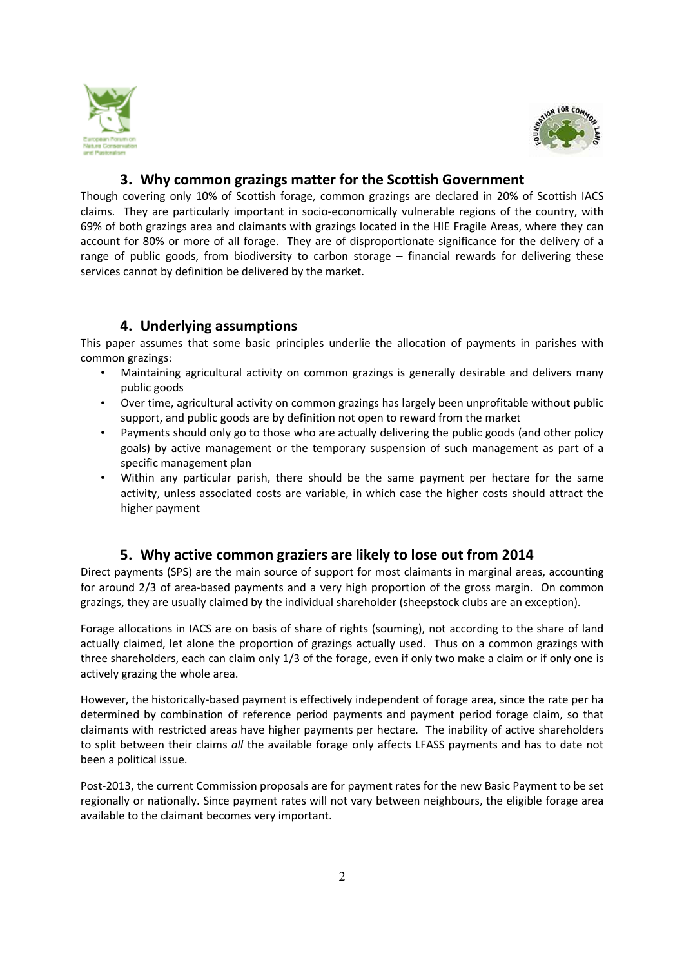



#### **3. Why common grazings matter for the Scottish Government**

Though covering only 10% of Scottish forage, common grazings are declared in 20% of Scottish IACS claims. They are particularly important in socio-economically vulnerable regions of the country, with 69% of both grazings area and claimants with grazings located in the HIE Fragile Areas, where they can account for 80% or more of all forage. They are of disproportionate significance for the delivery of a range of public goods, from biodiversity to carbon storage – financial rewards for delivering these services cannot by definition be delivered by the market.

## **4. Underlying assumptions**

This paper assumes that some basic principles underlie the allocation of payments in parishes with common grazings:

- Maintaining agricultural activity on common grazings is generally desirable and delivers many public goods
- Over time, agricultural activity on common grazings has largely been unprofitable without public support, and public goods are by definition not open to reward from the market
- Payments should only go to those who are actually delivering the public goods (and other policy goals) by active management or the temporary suspension of such management as part of a specific management plan
- Within any particular parish, there should be the same payment per hectare for the same activity, unless associated costs are variable, in which case the higher costs should attract the higher payment

## **5. Why active common graziers are likely to lose out from 2014**

Direct payments (SPS) are the main source of support for most claimants in marginal areas, accounting for around 2/3 of area-based payments and a very high proportion of the gross margin. On common grazings, they are usually claimed by the individual shareholder (sheepstock clubs are an exception).

Forage allocations in IACS are on basis of share of rights (souming), not according to the share of land actually claimed, let alone the proportion of grazings actually used. Thus on a common grazings with three shareholders, each can claim only 1/3 of the forage, even if only two make a claim or if only one is actively grazing the whole area.

However, the historically-based payment is effectively independent of forage area, since the rate per ha determined by combination of reference period payments and payment period forage claim, so that claimants with restricted areas have higher payments per hectare. The inability of active shareholders to split between their claims *all* the available forage only affects LFASS payments and has to date not been a political issue.

Post-2013, the current Commission proposals are for payment rates for the new Basic Payment to be set regionally or nationally. Since payment rates will not vary between neighbours, the eligible forage area available to the claimant becomes very important.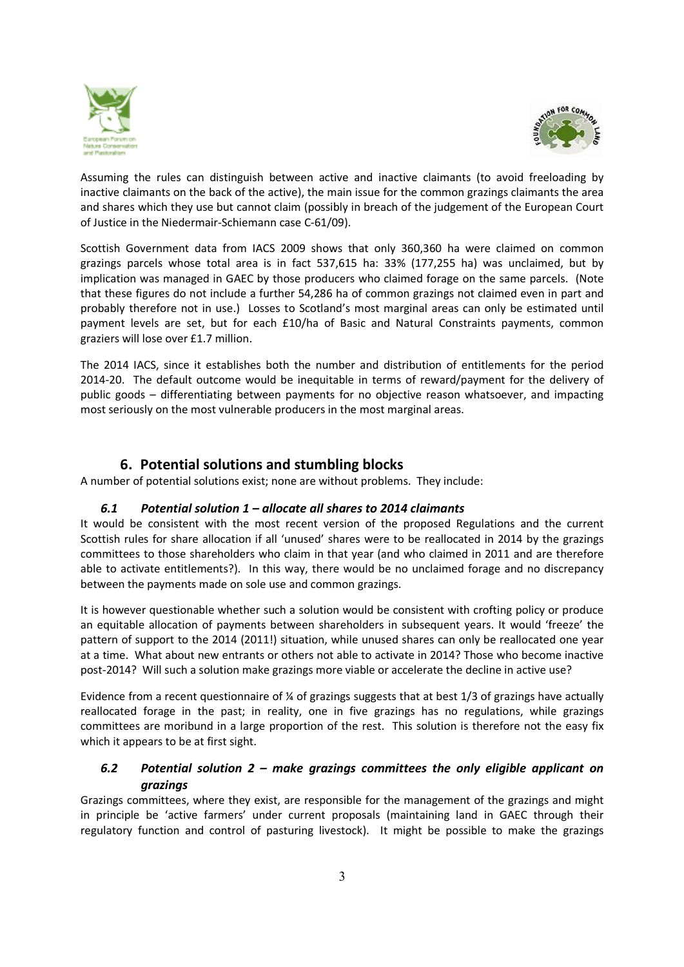



Assuming the rules can distinguish between active and inactive claimants (to avoid freeloading by inactive claimants on the back of the active), the main issue for the common grazings claimants the area and shares which they use but cannot claim (possibly in breach of the judgement of the European Court of Justice in the Niedermair-Schiemann case C-61/09).

Scottish Government data from IACS 2009 shows that only 360,360 ha were claimed on common grazings parcels whose total area is in fact 537,615 ha: 33% (177,255 ha) was unclaimed, but by implication was managed in GAEC by those producers who claimed forage on the same parcels. (Note that these figures do not include a further 54,286 ha of common grazings not claimed even in part and probably therefore not in use.) Losses to Scotland's most marginal areas can only be estimated until payment levels are set, but for each £10/ha of Basic and Natural Constraints payments, common graziers will lose over £1.7 million.

The 2014 IACS, since it establishes both the number and distribution of entitlements for the period 2014-20. The default outcome would be inequitable in terms of reward/payment for the delivery of public goods – differentiating between payments for no objective reason whatsoever, and impacting most seriously on the most vulnerable producers in the most marginal areas.

#### **6. Potential solutions and stumbling blocks**

A number of potential solutions exist; none are without problems. They include:

#### *6.1 Potential solution 1 – allocate all shares to 2014 claimants*

It would be consistent with the most recent version of the proposed Regulations and the current Scottish rules for share allocation if all 'unused' shares were to be reallocated in 2014 by the grazings committees to those shareholders who claim in that year (and who claimed in 2011 and are therefore able to activate entitlements?). In this way, there would be no unclaimed forage and no discrepancy between the payments made on sole use and common grazings.

It is however questionable whether such a solution would be consistent with crofting policy or produce an equitable allocation of payments between shareholders in subsequent years. It would 'freeze' the pattern of support to the 2014 (2011!) situation, while unused shares can only be reallocated one year at a time. What about new entrants or others not able to activate in 2014? Those who become inactive post-2014? Will such a solution make grazings more viable or accelerate the decline in active use?

Evidence from a recent questionnaire of ¼ of grazings suggests that at best 1/3 of grazings have actually reallocated forage in the past; in reality, one in five grazings has no regulations, while grazings committees are moribund in a large proportion of the rest. This solution is therefore not the easy fix which it appears to be at first sight.

#### *6.2 Potential solution 2 – make grazings committees the only eligible applicant on grazings*

Grazings committees, where they exist, are responsible for the management of the grazings and might in principle be 'active farmers' under current proposals (maintaining land in GAEC through their regulatory function and control of pasturing livestock). It might be possible to make the grazings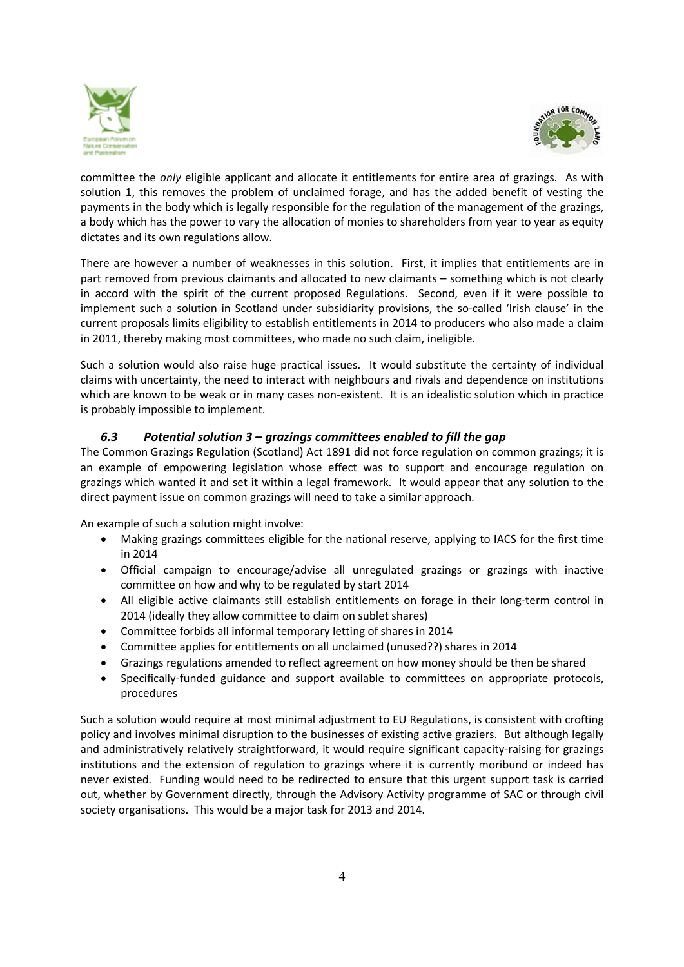



committee the *only* eligible applicant and allocate it entitlements for entire area of grazings. As with solution 1, this removes the problem of unclaimed forage, and has the added benefit of vesting the payments in the body which is legally responsible for the regulation of the management of the grazings, a body which has the power to vary the allocation of monies to shareholders from year to year as equity dictates and its own regulations allow.

There are however a number of weaknesses in this solution. First, it implies that entitlements are in part removed from previous claimants and allocated to new claimants – something which is not clearly in accord with the spirit of the current proposed Regulations. Second, even if it were possible to implement such a solution in Scotland under subsidiarity provisions, the so-called 'Irish clause' in the current proposals limits eligibility to establish entitlements in 2014 to producers who also made a claim in 2011, thereby making most committees, who made no such claim, ineligible.

Such a solution would also raise huge practical issues. It would substitute the certainty of individual claims with uncertainty, the need to interact with neighbours and rivals and dependence on institutions which are known to be weak or in many cases non-existent. It is an idealistic solution which in practice is probably impossible to implement.

#### *6.3 Potential solution 3 – grazings committees enabled to fill the gap*

The Common Grazings Regulation (Scotland) Act 1891 did not force regulation on common grazings; it is an example of empowering legislation whose effect was to support and encourage regulation on grazings which wanted it and set it within a legal framework. It would appear that any solution to the direct payment issue on common grazings will need to take a similar approach.

An example of such a solution might involve:

- Making grazings committees eligible for the national reserve, applying to IACS for the first time in 2014
- Official campaign to encourage/advise all unregulated grazings or grazings with inactive committee on how and why to be regulated by start 2014
- All eligible active claimants still establish entitlements on forage in their long-term control in 2014 (ideally they allow committee to claim on sublet shares)
- Committee forbids all informal temporary letting of shares in 2014
- Committee applies for entitlements on all unclaimed (unused??) shares in 2014
- Grazings regulations amended to reflect agreement on how money should be then be shared
- Specifically-funded guidance and support available to committees on appropriate protocols, procedures

Such a solution would require at most minimal adjustment to EU Regulations, is consistent with crofting policy and involves minimal disruption to the businesses of existing active graziers. But although legally and administratively relatively straightforward, it would require significant capacity-raising for grazings institutions and the extension of regulation to grazings where it is currently moribund or indeed has never existed. Funding would need to be redirected to ensure that this urgent support task is carried out, whether by Government directly, through the Advisory Activity programme of SAC or through civil society organisations. This would be a major task for 2013 and 2014.